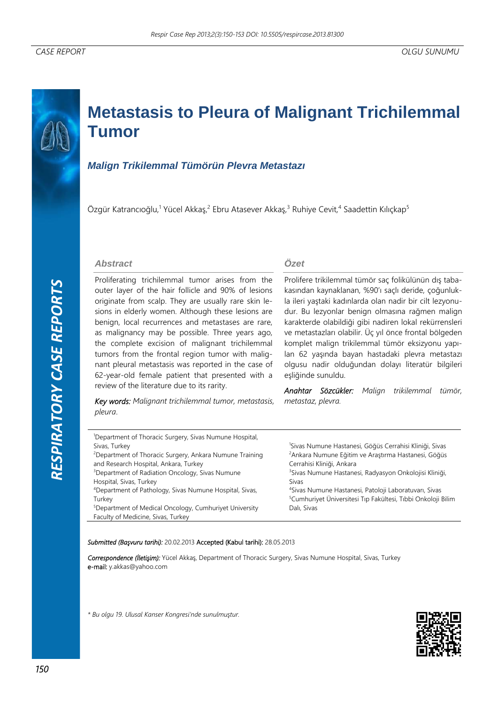# **Metastasis to Pleura of Malignant Trichilemmal Tumor**

# *Malign Trikilemmal Tümörün Plevra Metastazı*

Özgür Katrancıoğlu,<sup>1</sup> Yücel Akkaş,<sup>2</sup> Ebru Atasever Akkaş,<sup>3</sup> Ruhiye Cevit,<sup>4</sup> Saadettin Kılıçkap<sup>5</sup>

### *Abstract*

Proliferating trichilemmal tumor arises from the outer layer of the hair follicle and 90% of lesions originate from scalp. They are usually rare skin lesions in elderly women. Although these lesions are benign, local recurrences and metastases are rare, as malignancy may be possible. Three years ago, the complete excision of malignant trichilemmal tumors from the frontal region tumor with malignant pleural metastasis was reported in the case of 62-year-old female patient that presented with a review of the literature due to its rarity.

*Key words: Malignant trichilemmal tumor, metastasis, pleura*.

## *Özet*

Prolifere trikilemmal tümör saç folikülünün dış tabakasından kaynaklanan, %90'ı saçlı deride, çoğunlukla ileri yaştaki kadınlarda olan nadir bir cilt lezyonudur. Bu lezyonlar benign olmasına rağmen malign karakterde olabildiği gibi nadiren lokal rekürrensleri ve metastazları olabilir. Üç yıl önce frontal bölgeden komplet malign trikilemmal tümör eksizyonu yapılan 62 yaşında bayan hastadaki plevra metastazı olgusu nadir olduğundan dolayı literatür bilgileri eşliğinde sunuldu.

*Anahtar Sözcükler: Malign trikilemmal tümör, metastaz, plevra.* 

| <sup>1</sup> Department of Thoracic Surgery, Sivas Numune Hospital, |                                                                          |
|---------------------------------------------------------------------|--------------------------------------------------------------------------|
| Sivas, Turkey                                                       | <sup>1</sup> Sivas Numune Hastanesi, Göğüs Cerrahisi Kliniği, Sivas      |
| <sup>2</sup> Department of Thoracic Surgery, Ankara Numune Training | <sup>2</sup> Ankara Numune Eğitim ve Araştırma Hastanesi, Göğüs          |
| and Research Hospital, Ankara, Turkey                               | Cerrahisi Kliniği, Ankara                                                |
| <sup>3</sup> Department of Radiation Oncology, Sivas Numune         | <sup>3</sup> Sivas Numune Hastanesi, Radyasyon Onkolojisi Kliniği,       |
| Hospital, Sivas, Turkey                                             | Sivas                                                                    |
| <sup>4</sup> Department of Pathology, Sivas Numune Hospital, Sivas, | <sup>4</sup> Sivas Numune Hastanesi, Patoloji Laboratuvari, Sivas        |
| Turkey                                                              | <sup>5</sup> Cumhuriyet Üniversitesi Tıp Fakültesi, Tıbbi Onkoloji Bilim |
| <sup>5</sup> Department of Medical Oncology, Cumhuriyet University  | Dalı, Sivas                                                              |
| Faculty of Medicine, Sivas, Turkey                                  |                                                                          |

#### *Submitted (Başvuru tarihi):* 20.02.2013 Accepted (Kabul tarihi): 28.05.2013

*Correspondence (İletişim):* Yücel Akkaş, Department of Thoracic Surgery, Sivas Numune Hospital, Sivas, Turkey e-mail: y.akkas@yahoo.com

*\* Bu olgu 19. Ulusal Kanser Kongresi'nde sunulmuştur.*

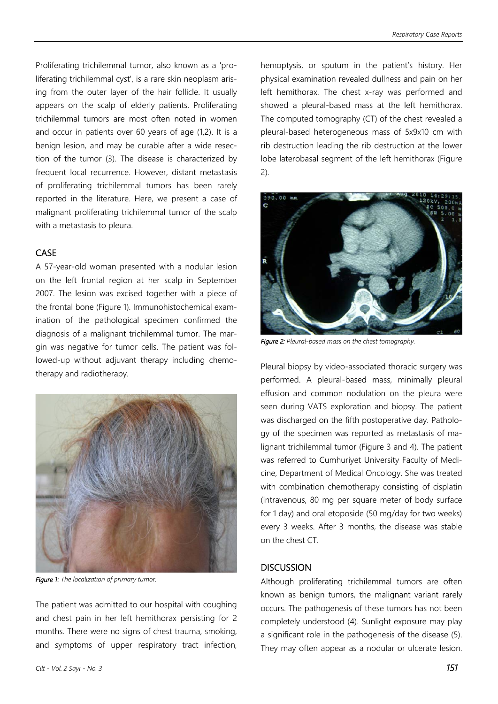Proliferating trichilemmal tumor, also known as a 'proliferating trichilemmal cyst', is a rare skin neoplasm arising from the outer layer of the hair follicle. It usually appears on the scalp of elderly patients. Proliferating trichilemmal tumors are most often noted in women and occur in patients over 60 years of age (1,2). It is a benign lesion, and may be curable after a wide resection of the tumor (3). The disease is characterized by frequent local recurrence. However, distant metastasis of proliferating trichilemmal tumors has been rarely reported in the literature. Here, we present a case of malignant proliferating trichilemmal tumor of the scalp with a metastasis to pleura.

# **CASE**

A 57-year-old woman presented with a nodular lesion on the left frontal region at her scalp in September 2007. The lesion was excised together with a piece of the frontal bone (Figure 1). Immunohistochemical examination of the pathological specimen confirmed the diagnosis of a malignant trichilemmal tumor. The margin was negative for tumor cells. The patient was followed-up without adjuvant therapy including chemotherapy and radiotherapy.



*Figure 1: The localization of primary tumor.* 

The patient was admitted to our hospital with coughing and chest pain in her left hemithorax persisting for 2 months. There were no signs of chest trauma, smoking, and symptoms of upper respiratory tract infection, hemoptysis, or sputum in the patient's history. Her physical examination revealed dullness and pain on her left hemithorax. The chest x-ray was performed and showed a pleural-based mass at the left hemithorax. The computed tomography (CT) of the chest revealed a pleural-based heterogeneous mass of 5x9x10 cm with rib destruction leading the rib destruction at the lower lobe laterobasal segment of the left hemithorax (Figure 2).



*Figure 2: Pleural-based mass on the chest tomography.* 

Pleural biopsy by video-associated thoracic surgery was performed. A pleural-based mass, minimally pleural effusion and common nodulation on the pleura were seen during VATS exploration and biopsy. The patient was discharged on the fifth postoperative day. Pathology of the specimen was reported as metastasis of malignant trichilemmal tumor (Figure 3 and 4). The patient was referred to Cumhuriyet University Faculty of Medicine, Department of Medical Oncology. She was treated with combination chemotherapy consisting of cisplatin (intravenous, 80 mg per square meter of body surface for 1 day) and oral etoposide (50 mg/day for two weeks) every 3 weeks. After 3 months, the disease was stable on the chest CT.

## **DISCUSSION**

Although proliferating trichilemmal tumors are often known as benign tumors, the malignant variant rarely occurs. The pathogenesis of these tumors has not been completely understood (4). Sunlight exposure may play a significant role in the pathogenesis of the disease (5). They may often appear as a nodular or ulcerate lesion.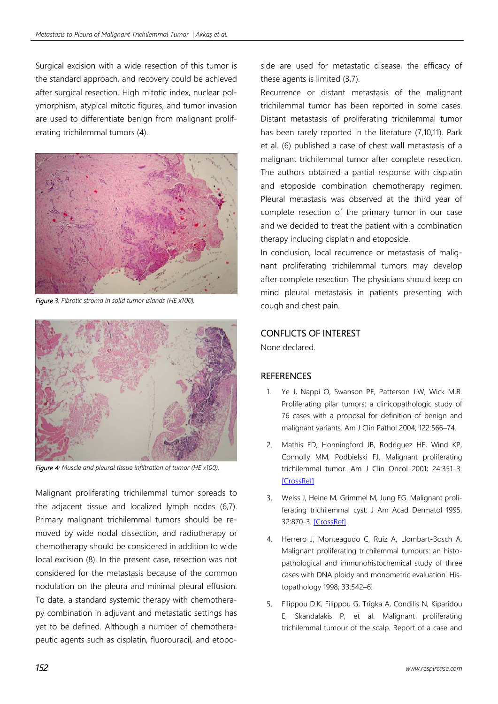Surgical excision with a wide resection of this tumor is the standard approach, and recovery could be achieved after surgical resection. High mitotic index, nuclear polymorphism, atypical mitotic figures, and tumor invasion are used to differentiate benign from malignant proliferating trichilemmal tumors (4).



*Figure 3: Fibrotic stroma in solid tumor islands (HE x100).*



*Figure 4: Muscle and pleural tissue infiltration of tumor (HE x100).* 

Malignant proliferating trichilemmal tumor spreads to the adjacent tissue and localized lymph nodes (6,7). Primary malignant trichilemmal tumors should be removed by wide nodal dissection, and radiotherapy or chemotherapy should be considered in addition to wide local excision (8). In the present case, resection was not considered for the metastasis because of the common nodulation on the pleura and minimal pleural effusion. To date, a standard systemic therapy with chemotherapy combination in adjuvant and metastatic settings has yet to be defined. Although a number of chemotherapeutic agents such as cisplatin, fluorouracil, and etoposide are used for metastatic disease, the efficacy of these agents is limited (3,7).

Recurrence or distant metastasis of the malignant trichilemmal tumor has been reported in some cases. Distant metastasis of proliferating trichilemmal tumor has been rarely reported in the literature (7,10,11). Park et al. (6) published a case of chest wall metastasis of a malignant trichilemmal tumor after complete resection. The authors obtained a partial response with cisplatin and etoposide combination chemotherapy regimen. Pleural metastasis was observed at the third year of complete resection of the primary tumor in our case and we decided to treat the patient with a combination therapy including cisplatin and etoposide.

In conclusion, local recurrence or metastasis of malignant proliferating trichilemmal tumors may develop after complete resection. The physicians should keep on mind pleural metastasis in patients presenting with cough and chest pain.

## CONFLICTS OF INTEREST

None declared.

# **REFERENCES**

- 1. Ye J, Nappi O, Swanson PE, Patterson J.W, Wick M.R. Proliferating pilar tumors: a clinicopathologic study of 76 cases with a proposal for definition of benign and malignant variants. Am J Clin Pathol 2004; 122:566–74.
- 2. Mathis ED, Honningford JB, Rodriguez HE, Wind KP, Connolly MM, Podbielski FJ. Malignant proliferating trichilemmal tumor. Am J Clin Oncol 2001; 24:351–3. **[CrossRef]**
- 3. Weiss J, Heine M, Grimmel M, Jung EG. Malignant proliferating trichilemmal cyst. J Am Acad Dermatol 1995; 32:870-3. [CrossRef]
- 4. Herrero J, Monteagudo C, Ruiz A, Llombart-Bosch A. Malignant proliferating trichilemmal tumours: an histopathological and immunohistochemical study of three cases with DNA ploidy and monometric evaluation. Histopathology 1998; 33:542–6.
- 5. Filippou D.K, Filippou G, Trigka A, Condilis N, Kiparidou E, Skandalakis P, et al. Malignant proliferating trichilemmal tumour of the scalp. Report of a case and